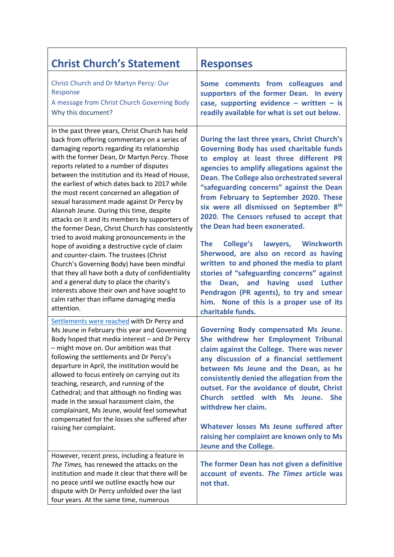| <b>Christ Church's Statement</b>                                                                                                                                                                                                                                                                                                                                                                                                                                                                                                                                                                                                                                                                                                                                                                                                                                                                                                                                                               | <b>Responses</b>                                                                                                                                                                                                                                                                                                                                                                                                                                                                                                                                                                                                                                                                                                                                                                                               |
|------------------------------------------------------------------------------------------------------------------------------------------------------------------------------------------------------------------------------------------------------------------------------------------------------------------------------------------------------------------------------------------------------------------------------------------------------------------------------------------------------------------------------------------------------------------------------------------------------------------------------------------------------------------------------------------------------------------------------------------------------------------------------------------------------------------------------------------------------------------------------------------------------------------------------------------------------------------------------------------------|----------------------------------------------------------------------------------------------------------------------------------------------------------------------------------------------------------------------------------------------------------------------------------------------------------------------------------------------------------------------------------------------------------------------------------------------------------------------------------------------------------------------------------------------------------------------------------------------------------------------------------------------------------------------------------------------------------------------------------------------------------------------------------------------------------------|
| Christ Church and Dr Martyn Percy: Our<br>Response<br>A message from Christ Church Governing Body<br>Why this document?                                                                                                                                                                                                                                                                                                                                                                                                                                                                                                                                                                                                                                                                                                                                                                                                                                                                        | Some comments from colleagues and<br>supporters of the former Dean. In every<br>case, supporting evidence - written - is<br>readily available for what is set out below.                                                                                                                                                                                                                                                                                                                                                                                                                                                                                                                                                                                                                                       |
| In the past three years, Christ Church has held<br>back from offering commentary on a series of<br>damaging reports regarding its relationship<br>with the former Dean, Dr Martyn Percy. Those<br>reports related to a number of disputes<br>between the institution and its Head of House,<br>the earliest of which dates back to 2017 while<br>the most recent concerned an allegation of<br>sexual harassment made against Dr Percy by<br>Alannah Jeune. During this time, despite<br>attacks on it and its members by supporters of<br>the former Dean, Christ Church has consistently<br>tried to avoid making pronouncements in the<br>hope of avoiding a destructive cycle of claim<br>and counter-claim. The trustees (Christ<br>Church's Governing Body) have been mindful<br>that they all have both a duty of confidentiality<br>and a general duty to place the charity's<br>interests above their own and have sought to<br>calm rather than inflame damaging media<br>attention. | During the last three years, Christ Church's<br><b>Governing Body has used charitable funds</b><br>to employ at least three different PR<br>agencies to amplify allegations against the<br><b>Dean. The College also orchestrated several</b><br>"safeguarding concerns" against the Dean<br>from February to September 2020. These<br>six were all dismissed on September 8th<br>2020. The Censors refused to accept that<br>the Dean had been exonerated.<br><b>College's</b><br>lawyers, Winckworth<br><b>The</b><br>Sherwood, are also on record as having<br>written to and phoned the media to plant<br>stories of "safeguarding concerns" against<br>having used Luther<br>the<br>Dean, and<br>Pendragon (PR agents), to try and smear<br>him. None of this is a proper use of its<br>charitable funds. |
| Settlements were reached with Dr Percy and<br>Ms Jeune in February this year and Governing<br>Body hoped that media interest - and Dr Percy<br>– might move on. Our ambition was that<br>following the settlements and Dr Percy's<br>departure in April, the institution would be<br>allowed to focus entirely on carrying out its<br>teaching, research, and running of the<br>Cathedral; and that although no finding was<br>made in the sexual harassment claim, the<br>complainant, Ms Jeune, would feel somewhat<br>compensated for the losses she suffered after<br>raising her complaint.                                                                                                                                                                                                                                                                                                                                                                                               | <b>Governing Body compensated Ms Jeune.</b><br>She withdrew her Employment Tribunal<br>claim against the College. There was never<br>any discussion of a financial settlement<br>between Ms Jeune and the Dean, as he<br>consistently denied the allegation from the<br>outset. For the avoidance of doubt, Christ<br>Church settled with<br><b>Ms</b><br><b>She</b><br>Jeune.<br>withdrew her claim.<br>Whatever losses Ms Jeune suffered after<br>raising her complaint are known only to Ms<br>Jeune and the College.                                                                                                                                                                                                                                                                                       |
| However, recent press, including a feature in<br>The Times, has renewed the attacks on the<br>institution and made it clear that there will be<br>no peace until we outline exactly how our<br>dispute with Dr Percy unfolded over the last<br>four years. At the same time, numerous                                                                                                                                                                                                                                                                                                                                                                                                                                                                                                                                                                                                                                                                                                          | The former Dean has not given a definitive<br>account of events. The Times article was<br>not that.                                                                                                                                                                                                                                                                                                                                                                                                                                                                                                                                                                                                                                                                                                            |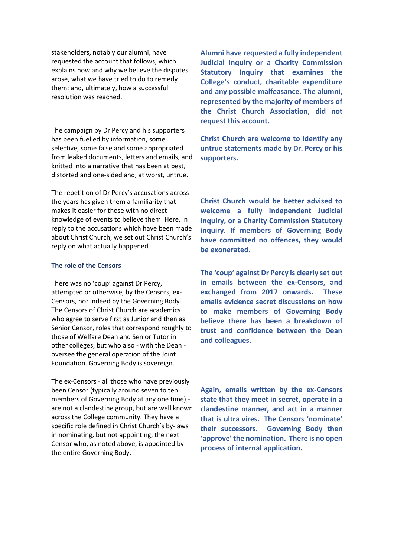| stakeholders, notably our alumni, have<br>requested the account that follows, which<br>explains how and why we believe the disputes<br>arose, what we have tried to do to remedy<br>them; and, ultimately, how a successful<br>resolution was reached.                                                                                                                                                                                                                                                    | Alumni have requested a fully independent<br>Judicial Inquiry or a Charity Commission<br>Statutory Inquiry that examines the<br>College's conduct, charitable expenditure<br>and any possible malfeasance. The alumni,<br>represented by the majority of members of<br>the Christ Church Association, did not<br>request this account. |
|-----------------------------------------------------------------------------------------------------------------------------------------------------------------------------------------------------------------------------------------------------------------------------------------------------------------------------------------------------------------------------------------------------------------------------------------------------------------------------------------------------------|----------------------------------------------------------------------------------------------------------------------------------------------------------------------------------------------------------------------------------------------------------------------------------------------------------------------------------------|
| The campaign by Dr Percy and his supporters<br>has been fuelled by information, some<br>selective, some false and some appropriated<br>from leaked documents, letters and emails, and<br>knitted into a narrative that has been at best,<br>distorted and one-sided and, at worst, untrue.                                                                                                                                                                                                                | Christ Church are welcome to identify any<br>untrue statements made by Dr. Percy or his<br>supporters.                                                                                                                                                                                                                                 |
| The repetition of Dr Percy's accusations across<br>the years has given them a familiarity that<br>makes it easier for those with no direct<br>knowledge of events to believe them. Here, in<br>reply to the accusations which have been made<br>about Christ Church, we set out Christ Church's<br>reply on what actually happened.                                                                                                                                                                       | Christ Church would be better advised to<br>welcome a fully Independent Judicial<br><b>Inquiry, or a Charity Commission Statutory</b><br>inquiry. If members of Governing Body<br>have committed no offences, they would<br>be exonerated.                                                                                             |
| The role of the Censors<br>There was no 'coup' against Dr Percy,<br>attempted or otherwise, by the Censors, ex-<br>Censors, nor indeed by the Governing Body.<br>The Censors of Christ Church are academics<br>who agree to serve first as Junior and then as<br>Senior Censor, roles that correspond roughly to<br>those of Welfare Dean and Senior Tutor in<br>other colleges, but who also - with the Dean -<br>oversee the general operation of the Joint<br>Foundation. Governing Body is sovereign. | The 'coup' against Dr Percy is clearly set out<br>in emails between the ex-Censors, and<br>exchanged from 2017 onwards.<br><b>These</b><br>emails evidence secret discussions on how<br>to make members of Governing Body<br>believe there has been a breakdown of<br>trust and confidence between the Dean<br>and colleagues.         |
| The ex-Censors - all those who have previously<br>been Censor (typically around seven to ten<br>members of Governing Body at any one time) -<br>are not a clandestine group, but are well known<br>across the College community. They have a<br>specific role defined in Christ Church's by-laws<br>in nominating, but not appointing, the next<br>Censor who, as noted above, is appointed by<br>the entire Governing Body.                                                                              | Again, emails written by the ex-Censors<br>state that they meet in secret, operate in a<br>clandestine manner, and act in a manner<br>that is ultra vires. The Censors 'nominate'<br><b>Governing Body then</b><br>their successors.<br>'approve' the nomination. There is no open<br>process of internal application.                 |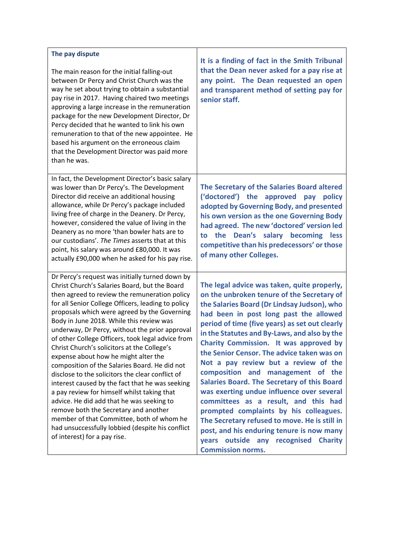| The pay dispute<br>The main reason for the initial falling-out<br>between Dr Percy and Christ Church was the<br>way he set about trying to obtain a substantial<br>pay rise in 2017. Having chaired two meetings<br>approving a large increase in the remuneration<br>package for the new Development Director, Dr<br>Percy decided that he wanted to link his own<br>remuneration to that of the new appointee. He<br>based his argument on the erroneous claim<br>that the Development Director was paid more<br>than he was. | It is a finding of fact in the Smith Tribunal<br>that the Dean never asked for a pay rise at<br>any point. The Dean requested an open<br>and transparent method of setting pay for<br>senior staff. |
|---------------------------------------------------------------------------------------------------------------------------------------------------------------------------------------------------------------------------------------------------------------------------------------------------------------------------------------------------------------------------------------------------------------------------------------------------------------------------------------------------------------------------------|-----------------------------------------------------------------------------------------------------------------------------------------------------------------------------------------------------|
| In fact, the Development Director's basic salary                                                                                                                                                                                                                                                                                                                                                                                                                                                                                | The Secretary of the Salaries Board altered                                                                                                                                                         |
| was lower than Dr Percy's. The Development                                                                                                                                                                                                                                                                                                                                                                                                                                                                                      | ('doctored') the approved pay                                                                                                                                                                       |
| Director did receive an additional housing                                                                                                                                                                                                                                                                                                                                                                                                                                                                                      | policy                                                                                                                                                                                              |
| allowance, while Dr Percy's package included                                                                                                                                                                                                                                                                                                                                                                                                                                                                                    | adopted by Governing Body, and presented                                                                                                                                                            |
| living free of charge in the Deanery. Dr Percy,                                                                                                                                                                                                                                                                                                                                                                                                                                                                                 | his own version as the one Governing Body                                                                                                                                                           |
| however, considered the value of living in the                                                                                                                                                                                                                                                                                                                                                                                                                                                                                  | had agreed. The new 'doctored' version led                                                                                                                                                          |
| Deanery as no more 'than bowler hats are to                                                                                                                                                                                                                                                                                                                                                                                                                                                                                     | the Dean's salary becoming less                                                                                                                                                                     |
| our custodians'. The Times asserts that at this                                                                                                                                                                                                                                                                                                                                                                                                                                                                                 | to                                                                                                                                                                                                  |
| point, his salary was around £80,000. It was                                                                                                                                                                                                                                                                                                                                                                                                                                                                                    | competitive than his predecessors' or those                                                                                                                                                         |
| actually £90,000 when he asked for his pay rise.                                                                                                                                                                                                                                                                                                                                                                                                                                                                                | of many other Colleges.                                                                                                                                                                             |
| Dr Percy's request was initially turned down by                                                                                                                                                                                                                                                                                                                                                                                                                                                                                 | The legal advice was taken, quite properly,                                                                                                                                                         |
| Christ Church's Salaries Board, but the Board                                                                                                                                                                                                                                                                                                                                                                                                                                                                                   | on the unbroken tenure of the Secretary of                                                                                                                                                          |
| then agreed to review the remuneration policy                                                                                                                                                                                                                                                                                                                                                                                                                                                                                   | the Salaries Board (Dr Lindsay Judson), who                                                                                                                                                         |
| for all Senior College Officers, leading to policy                                                                                                                                                                                                                                                                                                                                                                                                                                                                              | had been in post long past the allowed                                                                                                                                                              |
| proposals which were agreed by the Governing                                                                                                                                                                                                                                                                                                                                                                                                                                                                                    | period of time (five years) as set out clearly                                                                                                                                                      |
| Body in June 2018. While this review was                                                                                                                                                                                                                                                                                                                                                                                                                                                                                        | in the Statutes and By-Laws, and also by the                                                                                                                                                        |
| underway, Dr Percy, without the prior approval                                                                                                                                                                                                                                                                                                                                                                                                                                                                                  | Charity Commission. It was approved by                                                                                                                                                              |
| of other College Officers, took legal advice from                                                                                                                                                                                                                                                                                                                                                                                                                                                                               | the Senior Censor. The advice taken was on                                                                                                                                                          |
| Christ Church's solicitors at the College's                                                                                                                                                                                                                                                                                                                                                                                                                                                                                     | Not a pay review but a review of the                                                                                                                                                                |
| expense about how he might alter the                                                                                                                                                                                                                                                                                                                                                                                                                                                                                            | composition and management of the                                                                                                                                                                   |
| composition of the Salaries Board. He did not                                                                                                                                                                                                                                                                                                                                                                                                                                                                                   | Salaries Board. The Secretary of this Board                                                                                                                                                         |
| disclose to the solicitors the clear conflict of                                                                                                                                                                                                                                                                                                                                                                                                                                                                                | was exerting undue influence over several                                                                                                                                                           |
| interest caused by the fact that he was seeking                                                                                                                                                                                                                                                                                                                                                                                                                                                                                 | committees as a result, and this had                                                                                                                                                                |
| a pay review for himself whilst taking that                                                                                                                                                                                                                                                                                                                                                                                                                                                                                     | prompted complaints by his colleagues.                                                                                                                                                              |
| advice. He did add that he was seeking to                                                                                                                                                                                                                                                                                                                                                                                                                                                                                       | The Secretary refused to move. He is still in                                                                                                                                                       |
| remove both the Secretary and another                                                                                                                                                                                                                                                                                                                                                                                                                                                                                           | post, and his enduring tenure is now many                                                                                                                                                           |
| member of that Committee, both of whom he                                                                                                                                                                                                                                                                                                                                                                                                                                                                                       | years outside any recognised                                                                                                                                                                        |
| had unsuccessfully lobbied (despite his conflict                                                                                                                                                                                                                                                                                                                                                                                                                                                                                | <b>Charity</b>                                                                                                                                                                                      |
| of interest) for a pay rise.                                                                                                                                                                                                                                                                                                                                                                                                                                                                                                    | <b>Commission norms.</b>                                                                                                                                                                            |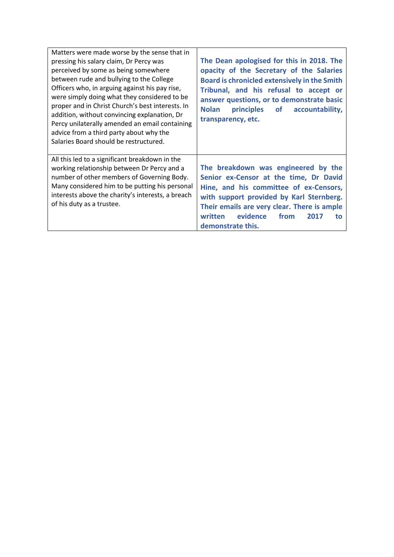| Matters were made worse by the sense that in<br>pressing his salary claim, Dr Percy was<br>perceived by some as being somewhere<br>between rude and bullying to the College<br>Officers who, in arguing against his pay rise,<br>were simply doing what they considered to be<br>proper and in Christ Church's best interests. In<br>addition, without convincing explanation, Dr<br>Percy unilaterally amended an email containing<br>advice from a third party about why the<br>Salaries Board should be restructured. | The Dean apologised for this in 2018. The<br>opacity of the Secretary of the Salaries<br><b>Board is chronicled extensively in the Smith</b><br>Tribunal, and his refusal to accept or<br>answer questions, or to demonstrate basic<br><b>Nolan</b><br>principles of accountability,<br>transparency, etc. |
|--------------------------------------------------------------------------------------------------------------------------------------------------------------------------------------------------------------------------------------------------------------------------------------------------------------------------------------------------------------------------------------------------------------------------------------------------------------------------------------------------------------------------|------------------------------------------------------------------------------------------------------------------------------------------------------------------------------------------------------------------------------------------------------------------------------------------------------------|
| All this led to a significant breakdown in the<br>working relationship between Dr Percy and a<br>number of other members of Governing Body.<br>Many considered him to be putting his personal<br>interests above the charity's interests, a breach<br>of his duty as a trustee.                                                                                                                                                                                                                                          | The breakdown was engineered by the<br>Senior ex-Censor at the time, Dr David<br>Hine, and his committee of ex-Censors,<br>with support provided by Karl Sternberg.<br>Their emails are very clear. There is ample<br>evidence<br>written<br>from<br>2017<br>to<br>demonstrate this.                       |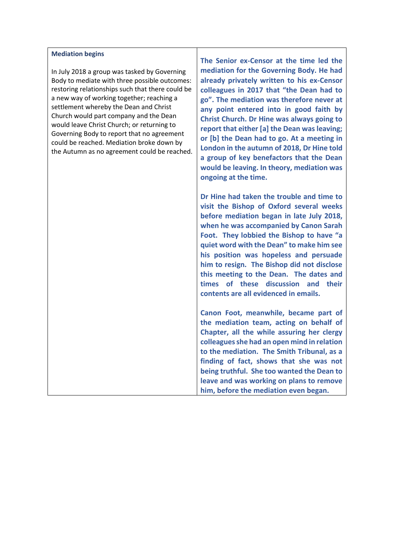## **Mediation begins**

In July 2018 a group was tasked by Governing Body to mediate with three possible outcomes: restoring relationships such that there could be a new way of working together; reaching a settlement whereby the Dean and Christ Church would part company and the Dean would leave Christ Church; or returning to Governing Body to report that no agreement could be reached. Mediation broke down by the Autumn as no agreement could be reached. **The Senior ex-Censor at the time led the mediation for the Governing Body. He had already privately written to his ex-Censor colleagues in 2017 that "the Dean had to go". The mediation was therefore never at any point entered into in good faith by Christ Church. Dr Hine was always going to report that either [a] the Dean was leaving; or [b] the Dean had to go. At a meeting in London in the autumn of 2018, Dr Hine told a group of key benefactors that the Dean would be leaving. In theory, mediation was ongoing at the time.**

**Dr Hine had taken the trouble and time to visit the Bishop of Oxford several weeks before mediation began in late July 2018, when he was accompanied by Canon Sarah Foot. They lobbied the Bishop to have "a quiet word with the Dean" to make him see his position was hopeless and persuade him to resign. The Bishop did not disclose this meeting to the Dean. The dates and times of these discussion and their contents are all evidenced in emails.**

**Canon Foot, meanwhile, became part of the mediation team, acting on behalf of Chapter, all the while assuring her clergy colleagues she had an open mind in relation to the mediation. The Smith Tribunal, as a finding of fact, shows that she was not being truthful. She too wanted the Dean to leave and was working on plans to remove him, before the mediation even began.**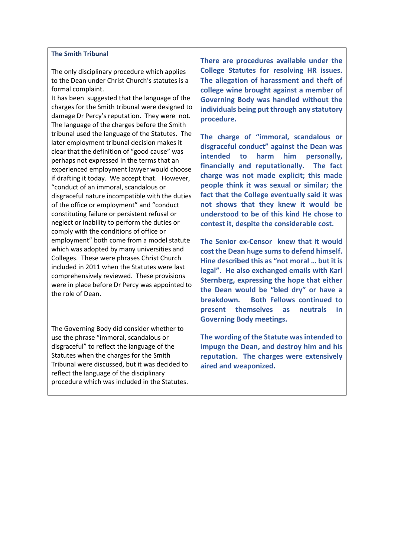## **The Smith Tribunal**

The only disciplinary procedure which applies to the Dean under Christ Church's statutes is a formal complaint.

It has been suggested that the language of the charges for the Smith tribunal were designed to damage Dr Percy's reputation. They were not. The language of the charges before the Smith tribunal used the language of the Statutes. The later employment tribunal decision makes it clear that the definition of "good cause" was perhaps not expressed in the terms that an experienced employment lawyer would choose if drafting it today. We accept that. However, "conduct of an immoral, scandalous or disgraceful nature incompatible with the duties of the office or employment" and "conduct constituting failure or persistent refusal or neglect or inability to perform the duties or comply with the conditions of office or employment" both come from a model statute which was adopted by many universities and Colleges. These were phrases Christ Church included in 2011 when the Statutes were last comprehensively reviewed. These provisions were in place before Dr Percy was appointed to the role of Dean.

The Governing Body did consider whether to use the phrase "immoral, scandalous or disgraceful" to reflect the language of the Statutes when the charges for the Smith Tribunal were discussed, but it was decided to reflect the language of the disciplinary procedure which was included in the Statutes.

**There are procedures available under the College Statutes for resolving HR issues. The allegation of harassment and theft of college wine brought against a member of Governing Body was handled without the individuals being put through any statutory procedure.**

**The charge of "immoral, scandalous or disgraceful conduct" against the Dean was intended to harm him personally, financially and reputationally. The fact charge was not made explicit; this made people think it was sexual or similar; the fact that the College eventually said it was not shows that they knew it would be understood to be of this kind He chose to contest it, despite the considerable cost.** 

**The Senior ex-Censor knew that it would cost the Dean huge sums to defend himself. Hine described this as "not moral … but it is legal". He also exchanged emails with Karl Sternberg, expressing the hope that either the Dean would be "bled dry" or have a breakdown. Both Fellows continued to present themselves as neutrals in Governing Body meetings.**

**The wording of the Statute was intended to impugn the Dean, and destroy him and his reputation. The charges were extensively aired and weaponized.**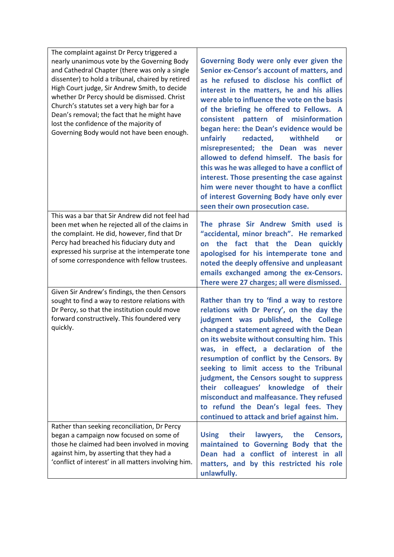| The complaint against Dr Percy triggered a<br>nearly unanimous vote by the Governing Body<br>and Cathedral Chapter (there was only a single<br>dissenter) to hold a tribunal, chaired by retired<br>High Court judge, Sir Andrew Smith, to decide<br>whether Dr Percy should be dismissed. Christ<br>Church's statutes set a very high bar for a<br>Dean's removal; the fact that he might have<br>lost the confidence of the majority of<br>Governing Body would not have been enough. | Governing Body were only ever given the<br>Senior ex-Censor's account of matters, and<br>as he refused to disclose his conflict of<br>interest in the matters, he and his allies<br>were able to influence the vote on the basis<br>of the briefing he offered to Fellows. A<br>pattern of misinformation<br>consistent<br>began here: the Dean's evidence would be<br>unfairly<br>redacted, withheld<br>or<br>misrepresented; the Dean was<br>never<br>allowed to defend himself. The basis for<br>this was he was alleged to have a conflict of<br>interest. Those presenting the case against<br>him were never thought to have a conflict<br>of interest Governing Body have only ever<br>seen their own prosecution case. |
|-----------------------------------------------------------------------------------------------------------------------------------------------------------------------------------------------------------------------------------------------------------------------------------------------------------------------------------------------------------------------------------------------------------------------------------------------------------------------------------------|--------------------------------------------------------------------------------------------------------------------------------------------------------------------------------------------------------------------------------------------------------------------------------------------------------------------------------------------------------------------------------------------------------------------------------------------------------------------------------------------------------------------------------------------------------------------------------------------------------------------------------------------------------------------------------------------------------------------------------|
| This was a bar that Sir Andrew did not feel had<br>been met when he rejected all of the claims in<br>the complaint. He did, however, find that Dr<br>Percy had breached his fiduciary duty and<br>expressed his surprise at the intemperate tone<br>of some correspondence with fellow trustees.                                                                                                                                                                                        | The phrase Sir Andrew Smith used is<br>"accidental, minor breach". He remarked<br>the fact that the Dean quickly<br>on<br>apologised for his intemperate tone and<br>noted the deeply offensive and unpleasant<br>emails exchanged among the ex-Censors.<br>There were 27 charges; all were dismissed.                                                                                                                                                                                                                                                                                                                                                                                                                         |
| Given Sir Andrew's findings, the then Censors<br>sought to find a way to restore relations with<br>Dr Percy, so that the institution could move<br>forward constructively. This foundered very<br>quickly.                                                                                                                                                                                                                                                                              | Rather than try to 'find a way to restore<br>relations with Dr Percy', on the day the<br>judgment was published, the College<br>changed a statement agreed with the Dean<br>on its website without consulting him. This<br>was, in effect, a declaration of the<br>resumption of conflict by the Censors. By<br>seeking to limit access to the Tribunal<br>judgment, the Censors sought to suppress<br>their colleagues' knowledge of their<br>misconduct and malfeasance. They refused<br>to refund the Dean's legal fees. They<br>continued to attack and brief against him.                                                                                                                                                 |
| Rather than seeking reconciliation, Dr Percy<br>began a campaign now focused on some of<br>those he claimed had been involved in moving<br>against him, by asserting that they had a<br>'conflict of interest' in all matters involving him.                                                                                                                                                                                                                                            | their<br><b>Using</b><br>lawyers,<br>the<br>Censors,<br>maintained to Governing Body that the<br>Dean had a conflict of interest in all<br>matters, and by this restricted his role<br>unlawfully.                                                                                                                                                                                                                                                                                                                                                                                                                                                                                                                             |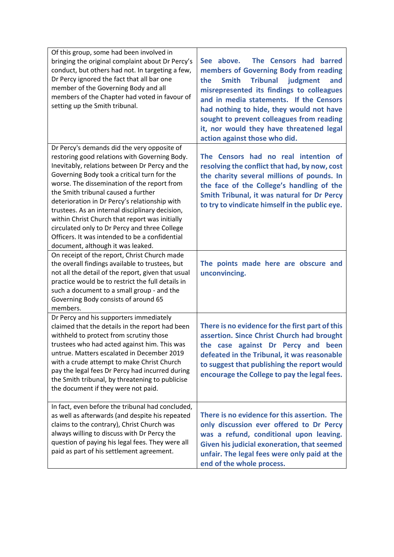| Of this group, some had been involved in<br>bringing the original complaint about Dr Percy's<br>conduct, but others had not. In targeting a few,<br>Dr Percy ignored the fact that all bar one<br>member of the Governing Body and all<br>members of the Chapter had voted in favour of<br>setting up the Smith tribunal.                                                                                                                                                                                                                                                         | See above.<br>The Censors had barred<br>members of Governing Body from reading<br>the<br><b>Smith</b><br><b>Tribunal</b><br>judgment<br>and<br>misrepresented its findings to colleagues<br>and in media statements. If the Censors<br>had nothing to hide, they would not have<br>sought to prevent colleagues from reading<br>it, nor would they have threatened legal<br>action against those who did. |
|-----------------------------------------------------------------------------------------------------------------------------------------------------------------------------------------------------------------------------------------------------------------------------------------------------------------------------------------------------------------------------------------------------------------------------------------------------------------------------------------------------------------------------------------------------------------------------------|-----------------------------------------------------------------------------------------------------------------------------------------------------------------------------------------------------------------------------------------------------------------------------------------------------------------------------------------------------------------------------------------------------------|
| Dr Percy's demands did the very opposite of<br>restoring good relations with Governing Body.<br>Inevitably, relations between Dr Percy and the<br>Governing Body took a critical turn for the<br>worse. The dissemination of the report from<br>the Smith tribunal caused a further<br>deterioration in Dr Percy's relationship with<br>trustees. As an internal disciplinary decision,<br>within Christ Church that report was initially<br>circulated only to Dr Percy and three College<br>Officers. It was intended to be a confidential<br>document, although it was leaked. | The Censors had no real intention of<br>resolving the conflict that had, by now, cost<br>the charity several millions of pounds. In<br>the face of the College's handling of the<br>Smith Tribunal, it was natural for Dr Percy<br>to try to vindicate himself in the public eye.                                                                                                                         |
| On receipt of the report, Christ Church made<br>the overall findings available to trustees, but<br>not all the detail of the report, given that usual<br>practice would be to restrict the full details in<br>such a document to a small group - and the<br>Governing Body consists of around 65<br>members.                                                                                                                                                                                                                                                                      | The points made here are obscure and<br>unconvincing.                                                                                                                                                                                                                                                                                                                                                     |
| Dr Percy and his supporters immediately<br>claimed that the details in the report had been<br>withheld to protect from scrutiny those<br>trustees who had acted against him. This was<br>untrue. Matters escalated in December 2019<br>with a crude attempt to make Christ Church<br>pay the legal fees Dr Percy had incurred during<br>the Smith tribunal, by threatening to publicise<br>the document if they were not paid.                                                                                                                                                    | There is no evidence for the first part of this<br>assertion. Since Christ Church had brought<br>the case against Dr Percy and been<br>defeated in the Tribunal, it was reasonable<br>to suggest that publishing the report would<br>encourage the College to pay the legal fees.                                                                                                                         |
| In fact, even before the tribunal had concluded,<br>as well as afterwards (and despite his repeated<br>claims to the contrary), Christ Church was<br>always willing to discuss with Dr Percy the<br>question of paying his legal fees. They were all<br>paid as part of his settlement agreement.                                                                                                                                                                                                                                                                                 | There is no evidence for this assertion. The<br>only discussion ever offered to Dr Percy<br>was a refund, conditional upon leaving.<br>Given his judicial exoneration, that seemed<br>unfair. The legal fees were only paid at the<br>end of the whole process.                                                                                                                                           |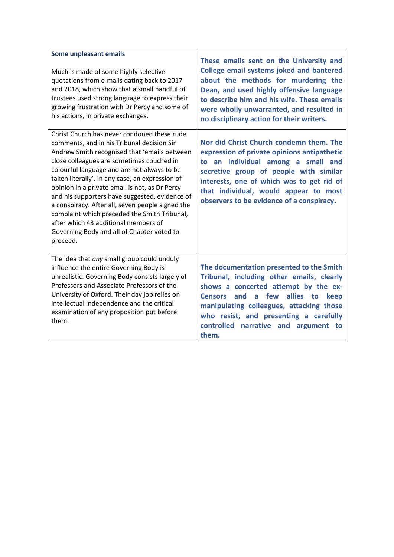| Some unpleasant emails<br>Much is made of some highly selective<br>quotations from e-mails dating back to 2017<br>and 2018, which show that a small handful of<br>trustees used strong language to express their<br>growing frustration with Dr Percy and some of<br>his actions, in private exchanges.                                                                                                                                                                                                                                                                                            | These emails sent on the University and<br><b>College email systems joked and bantered</b><br>about the methods for murdering the<br>Dean, and used highly offensive language<br>to describe him and his wife. These emails<br>were wholly unwarranted, and resulted in<br>no disciplinary action for their writers.        |
|----------------------------------------------------------------------------------------------------------------------------------------------------------------------------------------------------------------------------------------------------------------------------------------------------------------------------------------------------------------------------------------------------------------------------------------------------------------------------------------------------------------------------------------------------------------------------------------------------|-----------------------------------------------------------------------------------------------------------------------------------------------------------------------------------------------------------------------------------------------------------------------------------------------------------------------------|
| Christ Church has never condoned these rude<br>comments, and in his Tribunal decision Sir<br>Andrew Smith recognised that 'emails between<br>close colleagues are sometimes couched in<br>colourful language and are not always to be<br>taken literally'. In any case, an expression of<br>opinion in a private email is not, as Dr Percy<br>and his supporters have suggested, evidence of<br>a conspiracy. After all, seven people signed the<br>complaint which preceded the Smith Tribunal,<br>after which 43 additional members of<br>Governing Body and all of Chapter voted to<br>proceed. | Nor did Christ Church condemn them. The<br>expression of private opinions antipathetic<br>to an individual among a small and<br>secretive group of people with similar<br>interests, one of which was to get rid of<br>that individual, would appear to most<br>observers to be evidence of a conspiracy.                   |
| The idea that any small group could unduly<br>influence the entire Governing Body is<br>unrealistic. Governing Body consists largely of<br>Professors and Associate Professors of the<br>University of Oxford. Their day job relies on<br>intellectual independence and the critical<br>examination of any proposition put before<br>them.                                                                                                                                                                                                                                                         | The documentation presented to the Smith<br>Tribunal, including other emails, clearly<br>shows a concerted attempt by the ex-<br>allies to<br>and<br>a few<br><b>Censors</b><br>keep<br>manipulating colleagues, attacking those<br>who resist, and presenting a carefully<br>controlled narrative and argument to<br>them. |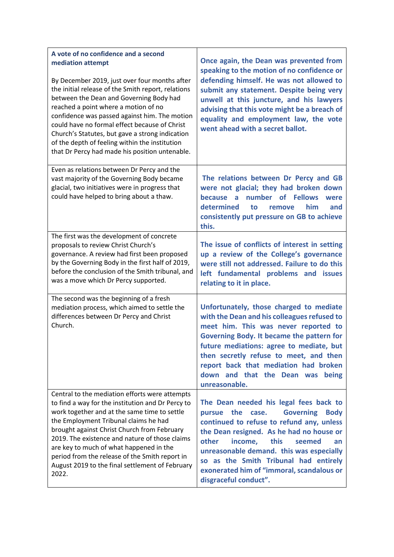| A vote of no confidence and a second<br>mediation attempt<br>By December 2019, just over four months after<br>the initial release of the Smith report, relations<br>between the Dean and Governing Body had<br>reached a point where a motion of no<br>confidence was passed against him. The motion<br>could have no formal effect because of Christ<br>Church's Statutes, but gave a strong indication<br>of the depth of feeling within the institution<br>that Dr Percy had made his position untenable. | Once again, the Dean was prevented from<br>speaking to the motion of no confidence or<br>defending himself. He was not allowed to<br>submit any statement. Despite being very<br>unwell at this juncture, and his lawyers<br>advising that this vote might be a breach of<br>equality and employment law, the vote<br>went ahead with a secret ballot.                                              |
|--------------------------------------------------------------------------------------------------------------------------------------------------------------------------------------------------------------------------------------------------------------------------------------------------------------------------------------------------------------------------------------------------------------------------------------------------------------------------------------------------------------|-----------------------------------------------------------------------------------------------------------------------------------------------------------------------------------------------------------------------------------------------------------------------------------------------------------------------------------------------------------------------------------------------------|
| Even as relations between Dr Percy and the<br>vast majority of the Governing Body became<br>glacial, two initiatives were in progress that<br>could have helped to bring about a thaw.                                                                                                                                                                                                                                                                                                                       | The relations between Dr Percy and GB<br>were not glacial; they had broken down<br>number of Fellows<br>because a<br>were<br>determined<br>to<br>him<br>and<br>remove<br>consistently put pressure on GB to achieve<br>this.                                                                                                                                                                        |
| The first was the development of concrete<br>proposals to review Christ Church's<br>governance. A review had first been proposed<br>by the Governing Body in the first half of 2019,<br>before the conclusion of the Smith tribunal, and<br>was a move which Dr Percy supported.                                                                                                                                                                                                                             | The issue of conflicts of interest in setting<br>up a review of the College's governance<br>were still not addressed. Failure to do this<br>left fundamental problems and issues<br>relating to it in place.                                                                                                                                                                                        |
| The second was the beginning of a fresh<br>mediation process, which aimed to settle the<br>differences between Dr Percy and Christ<br>Church.                                                                                                                                                                                                                                                                                                                                                                | Unfortunately, those charged to mediate<br>with the Dean and his colleagues refused to<br>meet him. This was never reported to<br>Governing Body. It became the pattern for<br>future mediations: agree to mediate, but<br>then secretly refuse to meet, and then<br>report back that mediation had broken<br>down and that the Dean was being<br>unreasonable.                                     |
| Central to the mediation efforts were attempts<br>to find a way for the institution and Dr Percy to<br>work together and at the same time to settle<br>the Employment Tribunal claims he had<br>brought against Christ Church from February<br>2019. The existence and nature of those claims<br>are key to much of what happened in the<br>period from the release of the Smith report in<br>August 2019 to the final settlement of February<br>2022.                                                       | The Dean needed his legal fees back to<br><b>Governing</b><br>pursue<br>the<br><b>Body</b><br>case.<br>continued to refuse to refund any, unless<br>the Dean resigned. As he had no house or<br>this<br>other<br>income,<br>seemed<br>an<br>unreasonable demand. this was especially<br>so as the Smith Tribunal had entirely<br>exonerated him of "immoral, scandalous or<br>disgraceful conduct". |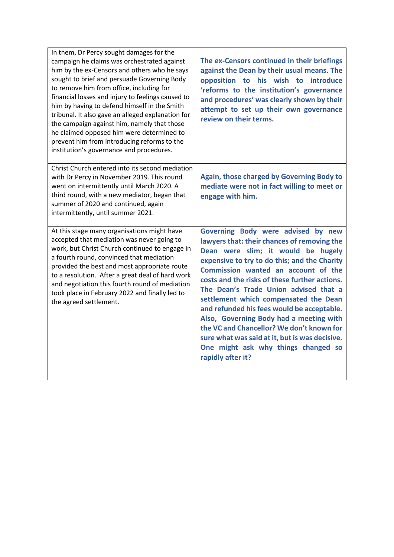| In them, Dr Percy sought damages for the<br>campaign he claims was orchestrated against<br>him by the ex-Censors and others who he says<br>sought to brief and persuade Governing Body<br>to remove him from office, including for<br>financial losses and injury to feelings caused to<br>him by having to defend himself in the Smith<br>tribunal. It also gave an alleged explanation for<br>the campaign against him, namely that those<br>he claimed opposed him were determined to<br>prevent him from introducing reforms to the<br>institution's governance and procedures. | The ex-Censors continued in their briefings<br>against the Dean by their usual means. The<br>opposition to his wish to introduce<br>'reforms to the institution's governance<br>and procedures' was clearly shown by their<br>attempt to set up their own governance<br>review on their terms.                                                                                                                                                                                                                                                                                                        |
|-------------------------------------------------------------------------------------------------------------------------------------------------------------------------------------------------------------------------------------------------------------------------------------------------------------------------------------------------------------------------------------------------------------------------------------------------------------------------------------------------------------------------------------------------------------------------------------|-------------------------------------------------------------------------------------------------------------------------------------------------------------------------------------------------------------------------------------------------------------------------------------------------------------------------------------------------------------------------------------------------------------------------------------------------------------------------------------------------------------------------------------------------------------------------------------------------------|
| Christ Church entered into its second mediation<br>with Dr Percy in November 2019. This round<br>went on intermittently until March 2020. A<br>third round, with a new mediator, began that<br>summer of 2020 and continued, again<br>intermittently, until summer 2021.                                                                                                                                                                                                                                                                                                            | Again, those charged by Governing Body to<br>mediate were not in fact willing to meet or<br>engage with him.                                                                                                                                                                                                                                                                                                                                                                                                                                                                                          |
| At this stage many organisations might have<br>accepted that mediation was never going to<br>work, but Christ Church continued to engage in<br>a fourth round, convinced that mediation<br>provided the best and most appropriate route<br>to a resolution. After a great deal of hard work<br>and negotiation this fourth round of mediation<br>took place in February 2022 and finally led to<br>the agreed settlement.                                                                                                                                                           | Governing Body were advised by new<br>lawyers that: their chances of removing the<br>Dean were slim; it would be hugely<br>expensive to try to do this; and the Charity<br>Commission wanted an account of the<br>costs and the risks of these further actions.<br>The Dean's Trade Union advised that a<br>settlement which compensated the Dean<br>and refunded his fees would be acceptable.<br>Also, Governing Body had a meeting with<br>the VC and Chancellor? We don't known for<br>sure what was said at it, but is was decisive.<br>One might ask why things changed so<br>rapidly after it? |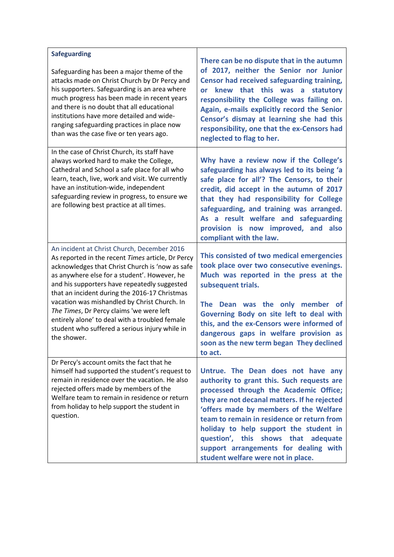| <b>Safeguarding</b><br>Safeguarding has been a major theme of the<br>attacks made on Christ Church by Dr Percy and<br>his supporters. Safeguarding is an area where<br>much progress has been made in recent years<br>and there is no doubt that all educational<br>institutions have more detailed and wide-<br>ranging safeguarding practices in place now<br>than was the case five or ten years ago.                                                                                                            | There can be no dispute that in the autumn<br>of 2017, neither the Senior nor Junior<br>Censor had received safeguarding training,<br>knew that this was a statutory<br><b>or</b><br>responsibility the College was failing on.<br>Again, e-mails explicitly record the Senior<br>Censor's dismay at learning she had this<br>responsibility, one that the ex-Censors had<br>neglected to flag to her.                             |
|---------------------------------------------------------------------------------------------------------------------------------------------------------------------------------------------------------------------------------------------------------------------------------------------------------------------------------------------------------------------------------------------------------------------------------------------------------------------------------------------------------------------|------------------------------------------------------------------------------------------------------------------------------------------------------------------------------------------------------------------------------------------------------------------------------------------------------------------------------------------------------------------------------------------------------------------------------------|
| In the case of Christ Church, its staff have<br>always worked hard to make the College,<br>Cathedral and School a safe place for all who<br>learn, teach, live, work and visit. We currently<br>have an institution-wide, independent<br>safeguarding review in progress, to ensure we<br>are following best practice at all times.                                                                                                                                                                                 | Why have a review now if the College's<br>safeguarding has always led to its being 'a<br>safe place for all'? The Censors, to their<br>credit, did accept in the autumn of 2017<br>that they had responsibility for College<br>safeguarding, and training was arranged.<br>As a result welfare and safeguarding<br>provision is now improved, and<br>also<br>compliant with the law.                                               |
| An incident at Christ Church, December 2016<br>As reported in the recent Times article, Dr Percy<br>acknowledges that Christ Church is 'now as safe<br>as anywhere else for a student'. However, he<br>and his supporters have repeatedly suggested<br>that an incident during the 2016-17 Christmas<br>vacation was mishandled by Christ Church. In<br>The Times, Dr Percy claims 'we were left<br>entirely alone' to deal with a troubled female<br>student who suffered a serious injury while in<br>the shower. | This consisted of two medical emergencies<br>took place over two consecutive evenings.<br>Much was reported in the press at the<br>subsequent trials.<br>The Dean was the only member of<br>Governing Body on site left to deal with<br>this, and the ex-Censors were informed of<br>dangerous gaps in welfare provision as<br>soon as the new term began They declined<br>to act.                                                 |
| Dr Percy's account omits the fact that he<br>himself had supported the student's request to<br>remain in residence over the vacation. He also<br>rejected offers made by members of the<br>Welfare team to remain in residence or return<br>from holiday to help support the student in<br>question.                                                                                                                                                                                                                | Untrue. The Dean does not have any<br>authority to grant this. Such requests are<br>processed through the Academic Office;<br>they are not decanal matters. If he rejected<br>'offers made by members of the Welfare<br>team to remain in residence or return from<br>holiday to help support the student in<br>question', this shows that adequate<br>support arrangements for dealing with<br>student welfare were not in place. |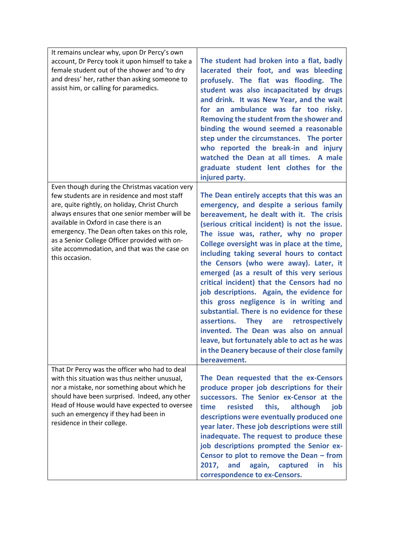| It remains unclear why, upon Dr Percy's own<br>account, Dr Percy took it upon himself to take a<br>female student out of the shower and 'to dry<br>and dress' her, rather than asking someone to<br>assist him, or calling for paramedics.                                                                                                                                                                      | The student had broken into a flat, badly<br>lacerated their foot, and was bleeding<br>profusely. The flat was flooding. The<br>student was also incapacitated by drugs<br>and drink. It was New Year, and the wait<br>for an ambulance was far too risky.<br>Removing the student from the shower and<br>binding the wound seemed a reasonable<br>step under the circumstances. The porter<br>who reported the break-in and injury<br>watched the Dean at all times. A male<br>graduate student lent clothes for the<br>injured party.                                                                                                                                                                                                                                                                 |
|-----------------------------------------------------------------------------------------------------------------------------------------------------------------------------------------------------------------------------------------------------------------------------------------------------------------------------------------------------------------------------------------------------------------|---------------------------------------------------------------------------------------------------------------------------------------------------------------------------------------------------------------------------------------------------------------------------------------------------------------------------------------------------------------------------------------------------------------------------------------------------------------------------------------------------------------------------------------------------------------------------------------------------------------------------------------------------------------------------------------------------------------------------------------------------------------------------------------------------------|
| Even though during the Christmas vacation very<br>few students are in residence and most staff<br>are, quite rightly, on holiday, Christ Church<br>always ensures that one senior member will be<br>available in Oxford in case there is an<br>emergency. The Dean often takes on this role,<br>as a Senior College Officer provided with on-<br>site accommodation, and that was the case on<br>this occasion. | The Dean entirely accepts that this was an<br>emergency, and despite a serious family<br>bereavement, he dealt with it. The crisis<br>(serious critical incident) is not the issue.<br>The issue was, rather, why no proper<br>College oversight was in place at the time,<br>including taking several hours to contact<br>the Censors (who were away). Later, it<br>emerged (as a result of this very serious<br>critical incident) that the Censors had no<br>job descriptions. Again, the evidence for<br>this gross negligence is in writing and<br>substantial. There is no evidence for these<br>assertions. They are<br>retrospectively<br>invented. The Dean was also on annual<br>leave, but fortunately able to act as he was<br>in the Deanery because of their close family<br>bereavement. |
| That Dr Percy was the officer who had to deal<br>with this situation was thus neither unusual,<br>nor a mistake, nor something about which he<br>should have been surprised. Indeed, any other<br>Head of House would have expected to oversee<br>such an emergency if they had been in<br>residence in their college.                                                                                          | The Dean requested that the ex-Censors<br>produce proper job descriptions for their<br>successors. The Senior ex-Censor at the<br>time<br>resisted<br>this,<br>although<br>job<br>descriptions were eventually produced one<br>year later. These job descriptions were still<br>inadequate. The request to produce these<br>job descriptions prompted the Senior ex-<br>Censor to plot to remove the Dean - from<br>2017,<br>and<br>again,<br>his<br>captured<br>in<br>correspondence to ex-Censors.                                                                                                                                                                                                                                                                                                    |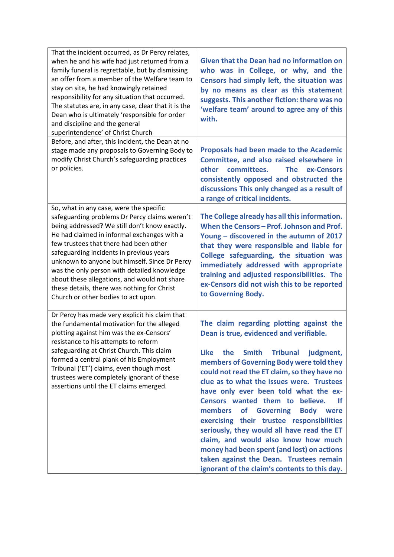| That the incident occurred, as Dr Percy relates,<br>when he and his wife had just returned from a<br>family funeral is regrettable, but by dismissing<br>an offer from a member of the Welfare team to<br>stay on site, he had knowingly retained<br>responsibility for any situation that occurred.<br>The statutes are, in any case, clear that it is the<br>Dean who is ultimately 'responsible for order<br>and discipline and the general<br>superintendence' of Christ Church                                  | <b>Given that the Dean had no information on</b><br>who was in College, or why, and the<br>Censors had simply left, the situation was<br>by no means as clear as this statement<br>suggests. This another fiction: there was no<br>'welfare team' around to agree any of this<br>with.                                                                                                                                                                                                                                                                                                                                                                                                                                     |
|----------------------------------------------------------------------------------------------------------------------------------------------------------------------------------------------------------------------------------------------------------------------------------------------------------------------------------------------------------------------------------------------------------------------------------------------------------------------------------------------------------------------|----------------------------------------------------------------------------------------------------------------------------------------------------------------------------------------------------------------------------------------------------------------------------------------------------------------------------------------------------------------------------------------------------------------------------------------------------------------------------------------------------------------------------------------------------------------------------------------------------------------------------------------------------------------------------------------------------------------------------|
| Before, and after, this incident, the Dean at no<br>stage made any proposals to Governing Body to<br>modify Christ Church's safeguarding practices<br>or policies.                                                                                                                                                                                                                                                                                                                                                   | <b>Proposals had been made to the Academic</b><br>Committee, and also raised elsewhere in<br>other<br>committees.<br>The<br>ex-Censors<br>consistently opposed and obstructed the<br>discussions This only changed as a result of<br>a range of critical incidents.                                                                                                                                                                                                                                                                                                                                                                                                                                                        |
| So, what in any case, were the specific<br>safeguarding problems Dr Percy claims weren't<br>being addressed? We still don't know exactly.<br>He had claimed in informal exchanges with a<br>few trustees that there had been other<br>safeguarding incidents in previous years<br>unknown to anyone but himself. Since Dr Percy<br>was the only person with detailed knowledge<br>about these allegations, and would not share<br>these details, there was nothing for Christ<br>Church or other bodies to act upon. | The College already has all this information.<br>When the Censors - Prof. Johnson and Prof.<br>Young - discovered in the autumn of 2017<br>that they were responsible and liable for<br>College safeguarding, the situation was<br>immediately addressed with appropriate<br>training and adjusted responsibilities. The<br>ex-Censors did not wish this to be reported<br>to Governing Body.                                                                                                                                                                                                                                                                                                                              |
| Dr Percy has made very explicit his claim that<br>the fundamental motivation for the alleged<br>plotting against him was the ex-Censors'<br>resistance to his attempts to reform<br>safeguarding at Christ Church. This claim<br>formed a central plank of his Employment<br>Tribunal ('ET') claims, even though most<br>trustees were completely ignorant of these<br>assertions until the ET claims emerged.                                                                                                       | The claim regarding plotting against the<br>Dean is true, evidenced and verifiable.<br><b>Smith</b><br><b>Tribunal</b><br><b>Like</b><br>the<br>judgment,<br>members of Governing Body were told they<br>could not read the ET claim, so they have no<br>clue as to what the issues were. Trustees<br>have only ever been told what the ex-<br>Censors wanted them to believe.<br>-lf<br>members<br><b>Governing</b><br>of<br><b>Body</b> were<br>exercising their trustee responsibilities<br>seriously, they would all have read the ET<br>claim, and would also know how much<br>money had been spent (and lost) on actions<br>taken against the Dean. Trustees remain<br>ignorant of the claim's contents to this day. |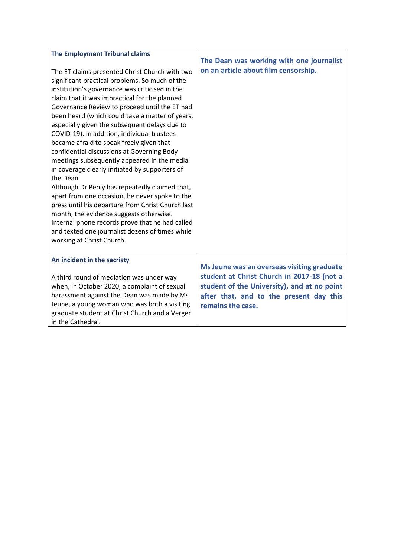| <b>The Employment Tribunal claims</b><br>The ET claims presented Christ Church with two<br>significant practical problems. So much of the<br>institution's governance was criticised in the<br>claim that it was impractical for the planned<br>Governance Review to proceed until the ET had<br>been heard (which could take a matter of years,<br>especially given the subsequent delays due to<br>COVID-19). In addition, individual trustees<br>became afraid to speak freely given that<br>confidential discussions at Governing Body<br>meetings subsequently appeared in the media<br>in coverage clearly initiated by supporters of<br>the Dean.<br>Although Dr Percy has repeatedly claimed that,<br>apart from one occasion, he never spoke to the<br>press until his departure from Christ Church last<br>month, the evidence suggests otherwise.<br>Internal phone records prove that he had called<br>and texted one journalist dozens of times while<br>working at Christ Church. | The Dean was working with one journalist<br>on an article about film censorship.                                                                                                                        |
|-------------------------------------------------------------------------------------------------------------------------------------------------------------------------------------------------------------------------------------------------------------------------------------------------------------------------------------------------------------------------------------------------------------------------------------------------------------------------------------------------------------------------------------------------------------------------------------------------------------------------------------------------------------------------------------------------------------------------------------------------------------------------------------------------------------------------------------------------------------------------------------------------------------------------------------------------------------------------------------------------|---------------------------------------------------------------------------------------------------------------------------------------------------------------------------------------------------------|
| An incident in the sacristy<br>A third round of mediation was under way<br>when, in October 2020, a complaint of sexual<br>harassment against the Dean was made by Ms<br>Jeune, a young woman who was both a visiting<br>graduate student at Christ Church and a Verger<br>in the Cathedral.                                                                                                                                                                                                                                                                                                                                                                                                                                                                                                                                                                                                                                                                                                    | Ms Jeune was an overseas visiting graduate<br>student at Christ Church in 2017-18 (not a<br>student of the University), and at no point<br>after that, and to the present day this<br>remains the case. |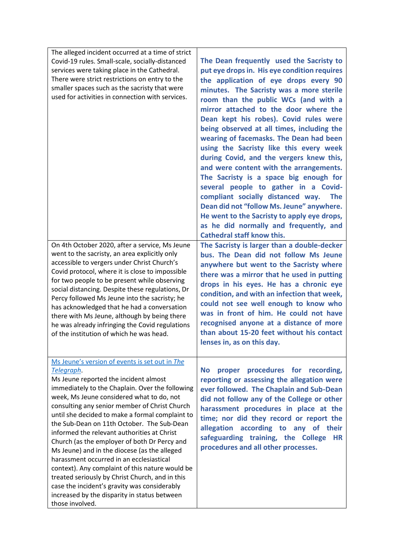| The alleged incident occurred at a time of strict<br>Covid-19 rules. Small-scale, socially-distanced<br>services were taking place in the Cathedral.<br>There were strict restrictions on entry to the<br>smaller spaces such as the sacristy that were<br>used for activities in connection with services.                                                                                                                                                                                                                                                                                                                                                                                                                                                                 | The Dean frequently used the Sacristy to<br>put eye drops in. His eye condition requires<br>the application of eye drops every 90<br>minutes. The Sacristy was a more sterile<br>room than the public WCs (and with a<br>mirror attached to the door where the<br>Dean kept his robes). Covid rules were<br>being observed at all times, including the<br>wearing of facemasks. The Dean had been<br>using the Sacristy like this every week<br>during Covid, and the vergers knew this,<br>and were content with the arrangements.<br>The Sacristy is a space big enough for<br>several people to gather in a Covid- |
|-----------------------------------------------------------------------------------------------------------------------------------------------------------------------------------------------------------------------------------------------------------------------------------------------------------------------------------------------------------------------------------------------------------------------------------------------------------------------------------------------------------------------------------------------------------------------------------------------------------------------------------------------------------------------------------------------------------------------------------------------------------------------------|-----------------------------------------------------------------------------------------------------------------------------------------------------------------------------------------------------------------------------------------------------------------------------------------------------------------------------------------------------------------------------------------------------------------------------------------------------------------------------------------------------------------------------------------------------------------------------------------------------------------------|
|                                                                                                                                                                                                                                                                                                                                                                                                                                                                                                                                                                                                                                                                                                                                                                             | compliant socially distanced way.<br><b>The</b><br>Dean did not "follow Ms. Jeune" anywhere.<br>He went to the Sacristy to apply eye drops,<br>as he did normally and frequently, and<br><b>Cathedral staff know this.</b>                                                                                                                                                                                                                                                                                                                                                                                            |
| On 4th October 2020, after a service, Ms Jeune<br>went to the sacristy, an area explicitly only<br>accessible to vergers under Christ Church's<br>Covid protocol, where it is close to impossible<br>for two people to be present while observing<br>social distancing. Despite these regulations, Dr<br>Percy followed Ms Jeune into the sacristy; he<br>has acknowledged that he had a conversation<br>there with Ms Jeune, although by being there<br>he was already infringing the Covid regulations<br>of the institution of which he was head.                                                                                                                                                                                                                        | The Sacristy is larger than a double-decker<br>bus. The Dean did not follow Ms Jeune<br>anywhere but went to the Sacristy where<br>there was a mirror that he used in putting<br>drops in his eyes. He has a chronic eye<br>condition, and with an infection that week,<br>could not see well enough to know who<br>was in front of him. He could not have<br>recognised anyone at a distance of more<br>than about 15-20 feet without his contact<br>lenses in, as on this day.                                                                                                                                      |
| Ms Jeune's version of events is set out in The<br>Telegraph.<br>Ms Jeune reported the incident almost<br>immediately to the Chaplain. Over the following<br>week, Ms Jeune considered what to do, not<br>consulting any senior member of Christ Church<br>until she decided to make a formal complaint to<br>the Sub-Dean on 11th October. The Sub-Dean<br>informed the relevant authorities at Christ<br>Church (as the employer of both Dr Percy and<br>Ms Jeune) and in the diocese (as the alleged<br>harassment occurred in an ecclesiastical<br>context). Any complaint of this nature would be<br>treated seriously by Christ Church, and in this<br>case the incident's gravity was considerably<br>increased by the disparity in status between<br>those involved. | procedures for recording,<br><b>No</b><br>proper<br>reporting or assessing the allegation were<br>ever followed. The Chaplain and Sub-Dean<br>did not follow any of the College or other<br>harassment procedures in place at the<br>time; nor did they record or report the<br>allegation according to any of their<br>safeguarding training, the College<br><b>HR</b><br>procedures and all other processes.                                                                                                                                                                                                        |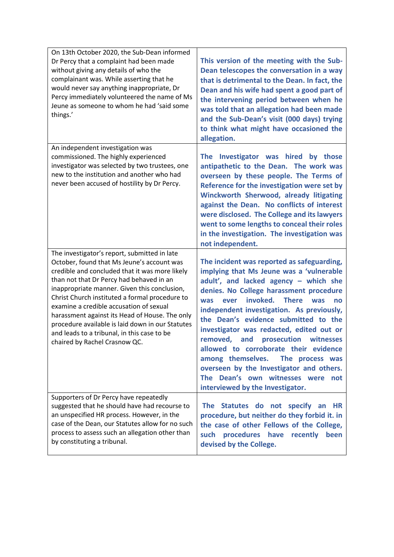| On 13th October 2020, the Sub-Dean informed<br>Dr Percy that a complaint had been made<br>without giving any details of who the<br>complainant was. While asserting that he<br>would never say anything inappropriate, Dr<br>Percy immediately volunteered the name of Ms<br>Jeune as someone to whom he had 'said some<br>things.'                                                                                                                                                                                         | This version of the meeting with the Sub-<br>Dean telescopes the conversation in a way<br>that is detrimental to the Dean. In fact, the<br>Dean and his wife had spent a good part of<br>the intervening period between when he<br>was told that an allegation had been made<br>and the Sub-Dean's visit (000 days) trying<br>to think what might have occasioned the<br>allegation.                                                                                                                                                                                                                                     |
|-----------------------------------------------------------------------------------------------------------------------------------------------------------------------------------------------------------------------------------------------------------------------------------------------------------------------------------------------------------------------------------------------------------------------------------------------------------------------------------------------------------------------------|--------------------------------------------------------------------------------------------------------------------------------------------------------------------------------------------------------------------------------------------------------------------------------------------------------------------------------------------------------------------------------------------------------------------------------------------------------------------------------------------------------------------------------------------------------------------------------------------------------------------------|
| An independent investigation was<br>commissioned. The highly experienced<br>investigator was selected by two trustees, one<br>new to the institution and another who had<br>never been accused of hostility by Dr Percy.                                                                                                                                                                                                                                                                                                    | The Investigator was hired<br>by those<br>antipathetic to the Dean. The work was<br>overseen by these people. The Terms of<br>Reference for the investigation were set by<br>Winckworth Sherwood, already litigating<br>against the Dean. No conflicts of interest<br>were disclosed. The College and its lawyers<br>went to some lengths to conceal their roles<br>in the investigation. The investigation was<br>not independent.                                                                                                                                                                                      |
| The investigator's report, submitted in late<br>October, found that Ms Jeune's account was<br>credible and concluded that it was more likely<br>than not that Dr Percy had behaved in an<br>inappropriate manner. Given this conclusion,<br>Christ Church instituted a formal procedure to<br>examine a credible accusation of sexual<br>harassment against its Head of House. The only<br>procedure available is laid down in our Statutes<br>and leads to a tribunal, in this case to be<br>chaired by Rachel Crasnow QC. | The incident was reported as safeguarding,<br>implying that Ms Jeune was a 'vulnerable<br>adult', and lacked agency - which she<br>denies. No College harassment procedure<br>invoked. There<br>ever<br><b>was</b><br>was<br>no<br>independent investigation. As previously,<br>the Dean's evidence submitted to the<br>investigator was redacted, edited out or<br>removed,<br>and<br>prosecution<br>witnesses<br>allowed to corroborate their evidence<br>among themselves.<br>The process was<br>overseen by the Investigator and others.<br>The Dean's own witnesses were<br>not<br>interviewed by the Investigator. |
| Supporters of Dr Percy have repeatedly<br>suggested that he should have had recourse to<br>an unspecified HR process. However, in the<br>case of the Dean, our Statutes allow for no such<br>process to assess such an allegation other than<br>by constituting a tribunal.                                                                                                                                                                                                                                                 | The Statutes do not specify an<br><b>HR</b><br>procedure, but neither do they forbid it. in<br>the case of other Fellows of the College,<br>procedures have<br>such<br>recently<br>been<br>devised by the College.                                                                                                                                                                                                                                                                                                                                                                                                       |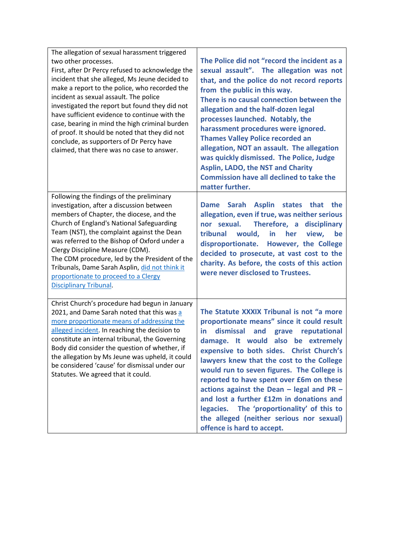| The allegation of sexual harassment triggered<br>two other processes.<br>First, after Dr Percy refused to acknowledge the<br>incident that she alleged, Ms Jeune decided to<br>make a report to the police, who recorded the<br>incident as sexual assault. The police<br>investigated the report but found they did not<br>have sufficient evidence to continue with the<br>case, bearing in mind the high criminal burden<br>of proof. It should be noted that they did not<br>conclude, as supporters of Dr Percy have<br>claimed, that there was no case to answer. | The Police did not "record the incident as a<br>sexual assault". The allegation was not<br>that, and the police do not record reports<br>from the public in this way.<br>There is no causal connection between the<br>allegation and the half-dozen legal<br>processes launched. Notably, the<br>harassment procedures were ignored.<br><b>Thames Valley Police recorded an</b><br>allegation, NOT an assault. The allegation<br>was quickly dismissed. The Police, Judge<br><b>Asplin, LADO, the NST and Charity</b>                                                                       |
|-------------------------------------------------------------------------------------------------------------------------------------------------------------------------------------------------------------------------------------------------------------------------------------------------------------------------------------------------------------------------------------------------------------------------------------------------------------------------------------------------------------------------------------------------------------------------|---------------------------------------------------------------------------------------------------------------------------------------------------------------------------------------------------------------------------------------------------------------------------------------------------------------------------------------------------------------------------------------------------------------------------------------------------------------------------------------------------------------------------------------------------------------------------------------------|
|                                                                                                                                                                                                                                                                                                                                                                                                                                                                                                                                                                         | <b>Commission have all declined to take the</b><br>matter further.                                                                                                                                                                                                                                                                                                                                                                                                                                                                                                                          |
| Following the findings of the preliminary<br>investigation, after a discussion between<br>members of Chapter, the diocese, and the<br>Church of England's National Safeguarding<br>Team (NST), the complaint against the Dean<br>was referred to the Bishop of Oxford under a<br>Clergy Discipline Measure (CDM).<br>The CDM procedure, led by the President of the<br>Tribunals, Dame Sarah Asplin, did not think it<br>proportionate to proceed to a Clergy<br><b>Disciplinary Tribunal.</b>                                                                          | Dame Sarah Asplin states that<br>the<br>allegation, even if true, was neither serious<br>nor sexual.<br>Therefore, a disciplinary<br>would, in<br>tribunal<br>her<br>view,<br>be<br>disproportionate. However, the College<br>decided to prosecute, at vast cost to the<br>charity. As before, the costs of this action<br>were never disclosed to Trustees.                                                                                                                                                                                                                                |
| Christ Church's procedure had begun in January<br>2021, and Dame Sarah noted that this was a<br>more proportionate means of addressing the<br>alleged incident. In reaching the decision to<br>constitute an internal tribunal, the Governing<br>Body did consider the question of whether, if<br>the allegation by Ms Jeune was upheld, it could<br>be considered 'cause' for dismissal under our<br>Statutes. We agreed that it could.                                                                                                                                | The Statute XXXIX Tribunal is not "a more<br>proportionate means" since it could result<br>dismissal<br>and<br>reputational<br>in<br>grave<br>damage. It would<br>also be extremely<br>expensive to both sides. Christ Church's<br>lawyers knew that the cost to the College<br>would run to seven figures. The College is<br>reported to have spent over £6m on these<br>actions against the Dean $-$ legal and PR $-$<br>and lost a further £12m in donations and<br>legacies. The 'proportionality' of this to<br>the alleged (neither serious nor sexual)<br>offence is hard to accept. |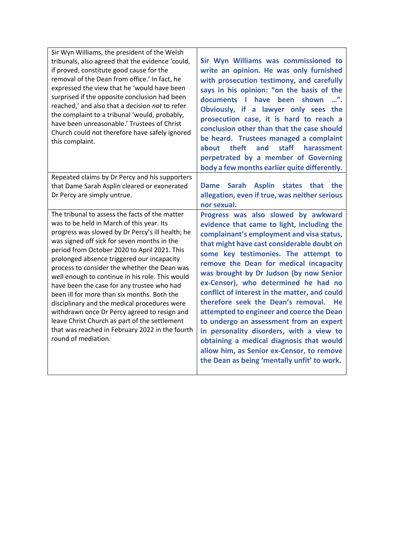| Sir Wyn Williams, the president of the Welsh<br>tribunals, also agreed that the evidence 'could,<br>if proved, constitute good cause for the<br>removal of the Dean from office.' In fact, he<br>expressed the view that he 'would have been<br>surprised if the opposite conclusion had been<br>reached,' and also that a decision not to refer<br>the complaint to a tribunal 'would, probably,<br>have been unreasonable.' Trustees of Christ<br>Church could not therefore have safely ignored<br>this complaint.                                                                                                                                                                                                   | Sir Wyn Williams was commissioned to<br>write an opinion. He was only furnished<br>with prosecution testimony, and carefully<br>says in his opinion: "on the basis of the<br>have<br>documents<br>$\mathbb{R}^n$<br>been<br>shown<br>Obviously, if a lawyer only sees the<br>prosecution case, it is hard to reach a<br>conclusion other than that the case should<br>be heard. Trustees managed a complaint<br>staff<br>theft<br>and<br>about<br>harassment<br>perpetrated by a member of Governing<br>body a few months earlier quite differently.                                                                                                                                                                         |
|-------------------------------------------------------------------------------------------------------------------------------------------------------------------------------------------------------------------------------------------------------------------------------------------------------------------------------------------------------------------------------------------------------------------------------------------------------------------------------------------------------------------------------------------------------------------------------------------------------------------------------------------------------------------------------------------------------------------------|------------------------------------------------------------------------------------------------------------------------------------------------------------------------------------------------------------------------------------------------------------------------------------------------------------------------------------------------------------------------------------------------------------------------------------------------------------------------------------------------------------------------------------------------------------------------------------------------------------------------------------------------------------------------------------------------------------------------------|
| Repeated claims by Dr Percy and his supporters<br>that Dame Sarah Asplin cleared or exonerated<br>Dr Percy are simply untrue.                                                                                                                                                                                                                                                                                                                                                                                                                                                                                                                                                                                           | Dame Sarah<br><b>Asplin</b><br>states that the<br>allegation, even if true, was neither serious<br>nor sexual.                                                                                                                                                                                                                                                                                                                                                                                                                                                                                                                                                                                                               |
| The tribunal to assess the facts of the matter<br>was to be held in March of this year. Its<br>progress was slowed by Dr Percy's ill health; he<br>was signed off sick for seven months in the<br>period from October 2020 to April 2021. This<br>prolonged absence triggered our incapacity<br>process to consider the whether the Dean was<br>well enough to continue in his role. This would<br>have been the case for any trustee who had<br>been ill for more than six months. Both the<br>disciplinary and the medical procedures were<br>withdrawn once Dr Percy agreed to resign and<br>leave Christ Church as part of the settlement<br>that was reached in February 2022 in the fourth<br>round of mediation. | Progress was also slowed by awkward<br>evidence that came to light, including the<br>complainant's employment and visa status,<br>that might have cast considerable doubt on<br>some key testimonies. The attempt to<br>remove the Dean for medical incapacity<br>was brought by Dr Judson (by now Senior<br>ex-Censor), who determined he had no<br>conflict of interest in the matter, and could<br>therefore seek the Dean's removal.<br>- He<br>attempted to engineer and coerce the Dean<br>to undergo an assessment from an expert<br>in personality disorders, with a view to<br>obtaining a medical diagnosis that would<br>allow him, as Senior ex-Censor, to remove<br>the Dean as being 'mentally unfit' to work. |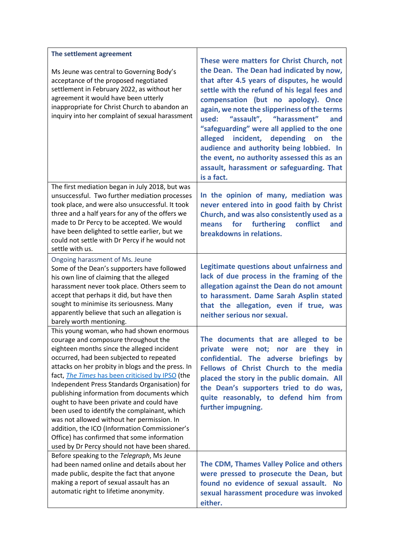| The settlement agreement                                                                                                                                                                                                                                                                                                                                                                                                                                                                                                                                                                                                                                                        | These were matters for Christ Church, not                                                                                                                                                                                                                                                                                                                                                                                                                                                                          |
|---------------------------------------------------------------------------------------------------------------------------------------------------------------------------------------------------------------------------------------------------------------------------------------------------------------------------------------------------------------------------------------------------------------------------------------------------------------------------------------------------------------------------------------------------------------------------------------------------------------------------------------------------------------------------------|--------------------------------------------------------------------------------------------------------------------------------------------------------------------------------------------------------------------------------------------------------------------------------------------------------------------------------------------------------------------------------------------------------------------------------------------------------------------------------------------------------------------|
| Ms Jeune was central to Governing Body's<br>acceptance of the proposed negotiated<br>settlement in February 2022, as without her<br>agreement it would have been utterly<br>inappropriate for Christ Church to abandon an<br>inquiry into her complaint of sexual harassment                                                                                                                                                                                                                                                                                                                                                                                                    | the Dean. The Dean had indicated by now,<br>that after 4.5 years of disputes, he would<br>settle with the refund of his legal fees and<br>compensation (but no apology). Once<br>again, we note the slipperiness of the terms<br>"assault", "harassment"<br>used:<br>and<br>"safeguarding" were all applied to the one<br>alleged incident, depending on the<br>audience and authority being lobbied. In<br>the event, no authority assessed this as an<br>assault, harassment or safeguarding. That<br>is a fact. |
| The first mediation began in July 2018, but was<br>unsuccessful. Two further mediation processes<br>took place, and were also unsuccessful. It took<br>three and a half years for any of the offers we<br>made to Dr Percy to be accepted. We would<br>have been delighted to settle earlier, but we<br>could not settle with Dr Percy if he would not<br>settle with us.                                                                                                                                                                                                                                                                                                       | In the opinion of many, mediation was<br>never entered into in good faith by Christ<br>Church, and was also consistently used as a<br>for<br>furthering<br>conflict<br>means<br>and<br>breakdowns in relations.                                                                                                                                                                                                                                                                                                    |
| Ongoing harassment of Ms. Jeune<br>Some of the Dean's supporters have followed<br>his own line of claiming that the alleged<br>harassment never took place. Others seem to<br>accept that perhaps it did, but have then<br>sought to minimise its seriousness. Many<br>apparently believe that such an allegation is<br>barely worth mentioning.                                                                                                                                                                                                                                                                                                                                | Legitimate questions about unfairness and<br>lack of due process in the framing of the<br>allegation against the Dean do not amount<br>to harassment. Dame Sarah Asplin stated<br>that the allegation, even if true, was<br>neither serious nor sexual.                                                                                                                                                                                                                                                            |
| This young woman, who had shown enormous<br>courage and composure throughout the<br>eighteen months since the alleged incident<br>occurred, had been subjected to repeated<br>attacks on her probity in blogs and the press. In<br>fact, The Times has been criticised by IPSO (the<br>Independent Press Standards Organisation) for<br>publishing information from documents which<br>ought to have been private and could have<br>been used to identify the complainant, which<br>was not allowed without her permission. In<br>addition, the ICO (Information Commissioner's<br>Office) has confirmed that some information<br>used by Dr Percy should not have been shared. | The documents that are alleged to be<br>private were not; nor are they<br>in.<br>confidential. The adverse briefings<br>by<br>Fellows of Christ Church to the media<br>placed the story in the public domain. All<br>the Dean's supporters tried to do was,<br>quite reasonably, to defend him from<br>further impugning.                                                                                                                                                                                          |
| Before speaking to the Telegraph, Ms Jeune<br>had been named online and details about her<br>made public, despite the fact that anyone<br>making a report of sexual assault has an<br>automatic right to lifetime anonymity.                                                                                                                                                                                                                                                                                                                                                                                                                                                    | The CDM, Thames Valley Police and others<br>were pressed to prosecute the Dean, but<br>found no evidence of sexual assault. No<br>sexual harassment procedure was invoked<br>either.                                                                                                                                                                                                                                                                                                                               |